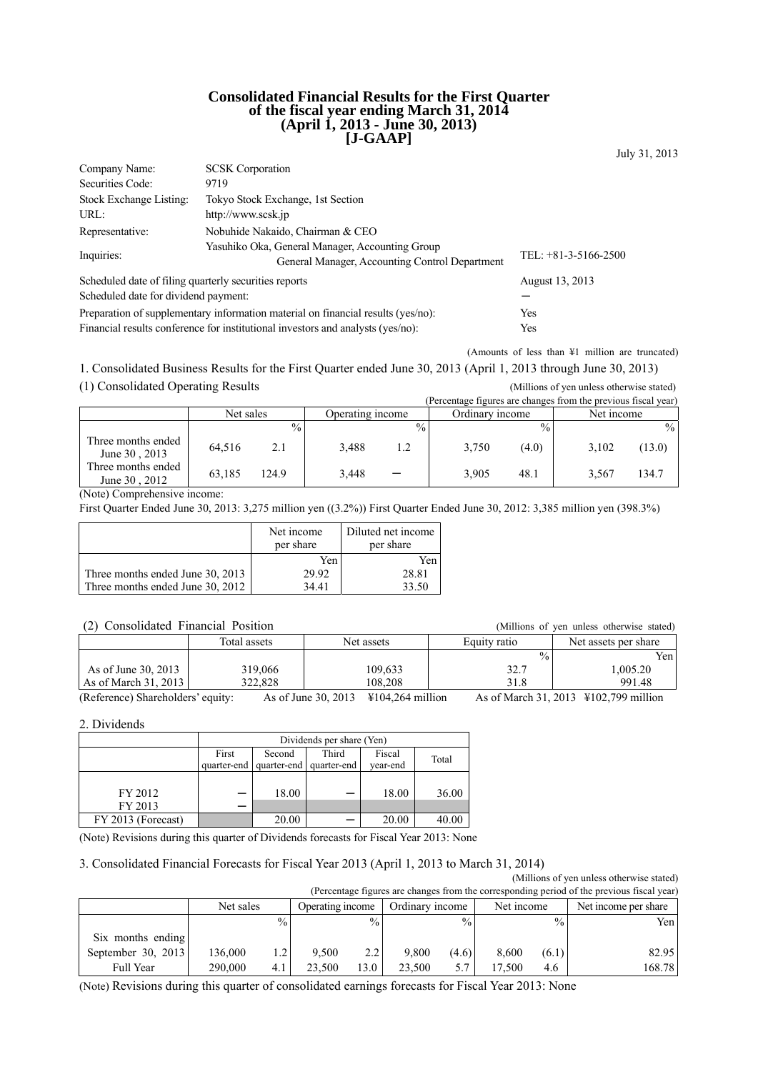#### **Consolidated Financial Results for the First Quarter of the fiscal year ending March 31, 2014 (April 1, 2013 - June 30, 2013) [J-GAAP]**

July 31, 2013

| Company Name:                                                                           | <b>SCSK</b> Corporation                                                         |                 |  |  |
|-----------------------------------------------------------------------------------------|---------------------------------------------------------------------------------|-----------------|--|--|
| Securities Code:                                                                        | 9719                                                                            |                 |  |  |
| Stock Exchange Listing:                                                                 | Tokyo Stock Exchange, 1st Section                                               |                 |  |  |
| URL:                                                                                    | http://www.scsk.jp                                                              |                 |  |  |
| Representative:                                                                         | Nobuhide Nakaido, Chairman & CEO                                                |                 |  |  |
| Inquiries:                                                                              | TEL: $+81-3-5166-2500$                                                          |                 |  |  |
| Scheduled date of filing quarterly securities reports                                   |                                                                                 | August 13, 2013 |  |  |
| Scheduled date for dividend payment:                                                    |                                                                                 |                 |  |  |
| Preparation of supplementary information material on financial results (yes/no):<br>Yes |                                                                                 |                 |  |  |
|                                                                                         | Financial results conference for institutional investors and analysts (yes/no): | Yes             |  |  |

(Amounts of less than ¥1 million are truncated)

1. Consolidated Business Results for the First Quarter ended June 30, 2013 (April 1, 2013 through June 30, 2013) (1) Consolidated Operating Results (Millions of yen unless otherwise stated)

|                                     |           |               |                  |               |                 |               | (Percentage figures are changes from the previous fiscal year) |        |
|-------------------------------------|-----------|---------------|------------------|---------------|-----------------|---------------|----------------------------------------------------------------|--------|
|                                     | Net sales |               | Operating income |               | Ordinary income |               | Net income                                                     |        |
|                                     |           | $\frac{0}{0}$ |                  | $\frac{0}{0}$ |                 | $\frac{0}{0}$ |                                                                | $\%$   |
| Three months ended<br>June 30, 2013 | 64.516    | 2.1           | 3,488            | 1.2           | 3,750           | (4.0)         | 3,102                                                          | (13.0) |
| Three months ended<br>June 30, 2012 | 63.185    | 124.9         | 3,448            |               | 3,905           | 48.1          | 3.567                                                          | 134.7  |

(Note) Comprehensive income:

First Quarter Ended June 30, 2013: 3,275 million yen ((3.2%)) First Quarter Ended June 30, 2012: 3,385 million yen (398.3%)

|                                  | Net income<br>per share | Diluted net income<br>per share |
|----------------------------------|-------------------------|---------------------------------|
|                                  | Yen                     | Yen                             |
| Three months ended June 30, 2013 | 29.92                   | 28.81                           |
| Three months ended June 30, 2012 | 34.41                   | 33.50                           |

## (2) Consolidated Financial Position (Millions of yen unless otherwise stated)

| $(2)$ Consondated Financial Fosition |              |                     | (Millions of yen unless otherwise stated) |               |                                       |
|--------------------------------------|--------------|---------------------|-------------------------------------------|---------------|---------------------------------------|
|                                      | Total assets | Net assets          |                                           | Equity ratio  | Net assets per share                  |
|                                      |              |                     |                                           | $\frac{0}{0}$ | Yen                                   |
| As of June 30, 2013                  | 319,066      |                     | 109,633                                   | 32.7          | 1.005.20                              |
| As of March 31, 2013                 | 322,828      |                     | 108.208                                   | 31.8          | 991.48                                |
| (Reference) Shareholders' equity:    |              | As of June 30, 2013 | $\text{\textsterling}104.264$ million     |               | As of March 31, 2013 ¥102,799 million |

2. Dividends

|                    | Dividends per share (Yen) |                         |             |          |       |  |
|--------------------|---------------------------|-------------------------|-------------|----------|-------|--|
|                    | First                     | Second                  | Third       | Fiscal   | Total |  |
|                    |                           | quarter-end quarter-end | quarter-end | vear-end |       |  |
|                    |                           |                         |             |          |       |  |
| FY 2012            |                           | 18.00                   |             | 18.00    | 36.00 |  |
| FY 2013            |                           |                         |             |          |       |  |
| FY 2013 (Forecast) |                           | 20.00                   |             | 20.00    | 40.00 |  |

(Note) Revisions during this quarter of Dividends forecasts for Fiscal Year 2013: None

#### 3. Consolidated Financial Forecasts for Fiscal Year 2013 (April 1, 2013 to March 31, 2014)

|                    |                                                                                            |               |                  |               |                 |               |            |               | (Millions of yen unless otherwise stated) |
|--------------------|--------------------------------------------------------------------------------------------|---------------|------------------|---------------|-----------------|---------------|------------|---------------|-------------------------------------------|
|                    | (Percentage figures are changes from the corresponding period of the previous fiscal year) |               |                  |               |                 |               |            |               |                                           |
|                    | Net sales                                                                                  |               | Operating income |               | Ordinary income |               | Net income |               | Net income per share                      |
|                    |                                                                                            | $\frac{0}{0}$ |                  | $\frac{0}{0}$ |                 | $\frac{0}{0}$ |            | $\frac{0}{0}$ | Yen                                       |
| Six months ending  |                                                                                            |               |                  |               |                 |               |            |               |                                           |
| September 30, 2013 | 136.000                                                                                    | 1.2           | 9.500            | 2.2           | 9.800           | (4.6)         | 8,600      | (6.1)         | 82.95                                     |
| Full Year          | 290,000                                                                                    | 4.1           | 23.500           | 13.0          | 23.500          | 5.7           | 17.500     | 4.6           | 168.78                                    |

(Note) Revisions during this quarter of consolidated earnings forecasts for Fiscal Year 2013: None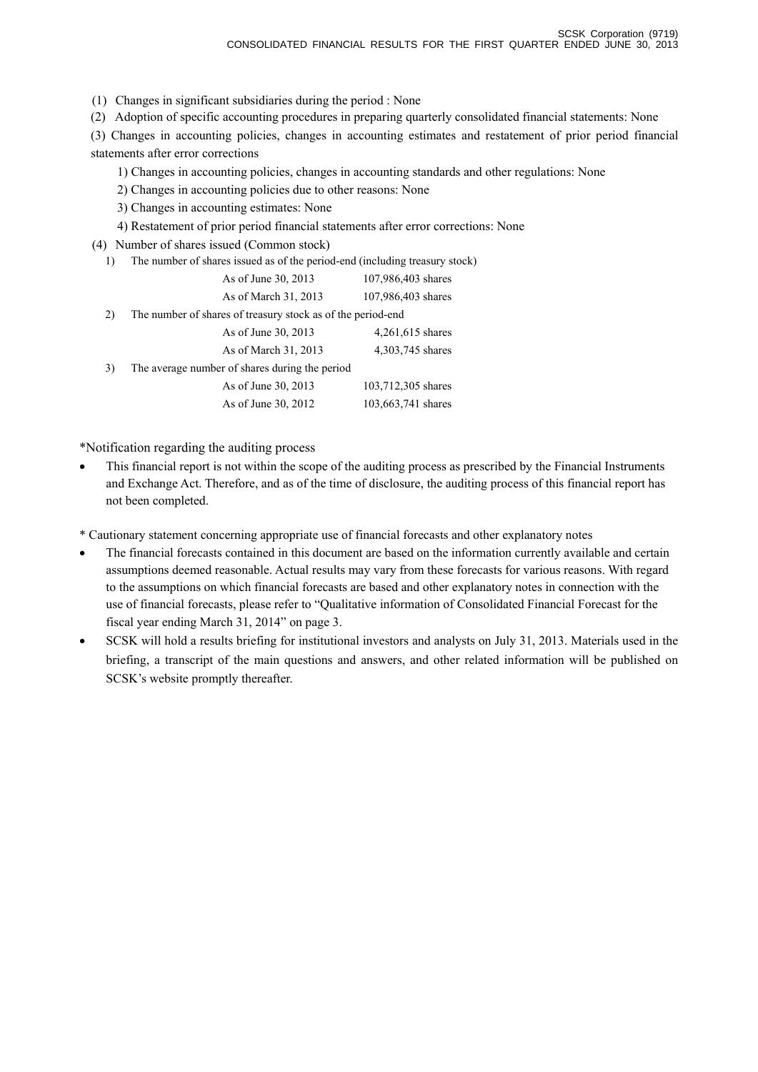- (1) Changes in significant subsidiaries during the period : None
- (2) Adoption of specific accounting procedures in preparing quarterly consolidated financial statements: None

(3) Changes in accounting policies, changes in accounting estimates and restatement of prior period financial statements after error corrections

- 1) Changes in accounting policies, changes in accounting standards and other regulations: None
- 2) Changes in accounting policies due to other reasons: None
- 3) Changes in accounting estimates: None
- 4) Restatement of prior period financial statements after error corrections: None

(4) Number of shares issued (Common stock)

1) The number of shares issued as of the period-end (including treasury stock)

|    | As of June 30, 2013                                         | 107,986,403 shares |
|----|-------------------------------------------------------------|--------------------|
|    | As of March 31, 2013                                        | 107,986,403 shares |
| 2) | The number of shares of treasury stock as of the period-end |                    |
|    | As of June 30, 2013                                         | 4,261,615 shares   |
|    | As of March 31, 2013                                        | 4,303,745 shares   |
| 3) | The average number of shares during the period              |                    |
|    | As of June 30, 2013                                         | 103,712,305 shares |
|    | As of June 30, 2012                                         | 103,663,741 shares |
|    |                                                             |                    |

\*Notification regarding the auditing process

• This financial report is not within the scope of the auditing process as prescribed by the Financial Instruments and Exchange Act. Therefore, and as of the time of disclosure, the auditing process of this financial report has not been completed.

\* Cautionary statement concerning appropriate use of financial forecasts and other explanatory notes

- The financial forecasts contained in this document are based on the information currently available and certain assumptions deemed reasonable. Actual results may vary from these forecasts for various reasons. With regard to the assumptions on which financial forecasts are based and other explanatory notes in connection with the use of financial forecasts, please refer to "Qualitative information of Consolidated Financial Forecast for the fiscal year ending March 31, 2014" on page 3.
- SCSK will hold a results briefing for institutional investors and analysts on July 31, 2013. Materials used in the briefing, a transcript of the main questions and answers, and other related information will be published on SCSK's website promptly thereafter.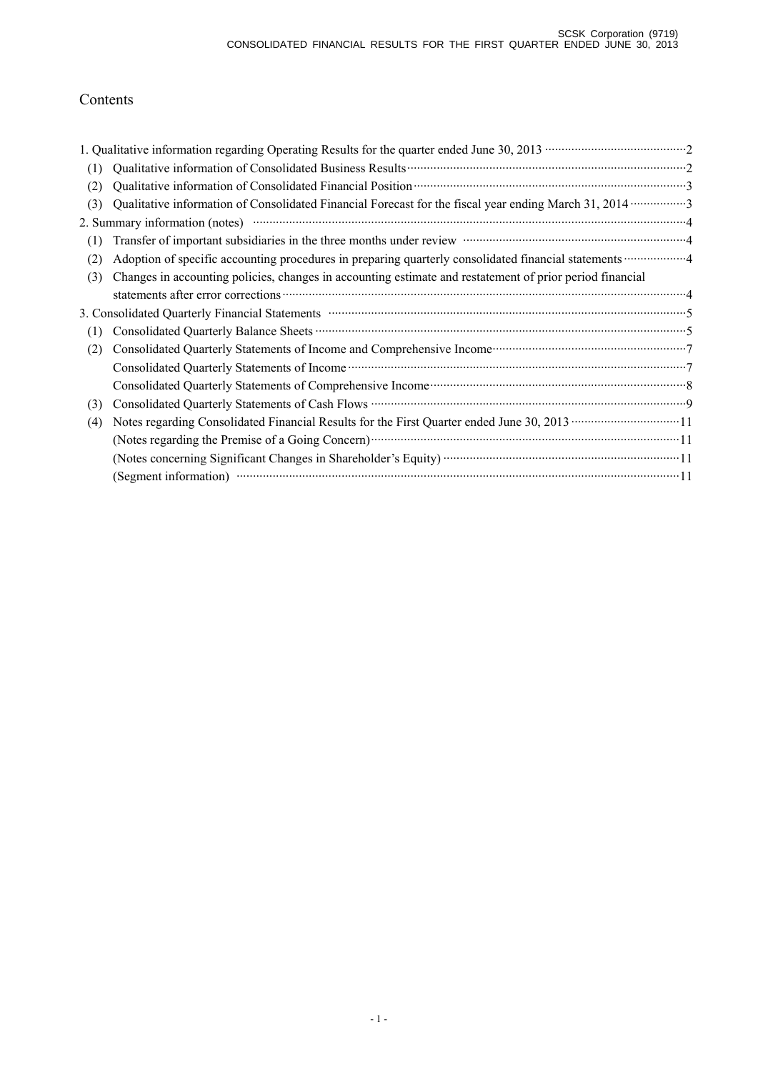# Contents

| (1) |                                                                                                                                                                                                                                |  |
|-----|--------------------------------------------------------------------------------------------------------------------------------------------------------------------------------------------------------------------------------|--|
| (2) |                                                                                                                                                                                                                                |  |
| (3) |                                                                                                                                                                                                                                |  |
|     | 2. Summary information (notes) manufactured and all the set of the set of the set of the set of the set of the set of the set of the set of the set of the set of the set of the set of the set of the set of the set of the s |  |
| (1) | Transfer of important subsidiaries in the three months under review manufactured and an approximate and a property of                                                                                                          |  |
| (2) |                                                                                                                                                                                                                                |  |
| (3) | Changes in accounting policies, changes in accounting estimate and restatement of prior period financial                                                                                                                       |  |
|     |                                                                                                                                                                                                                                |  |
|     | 3. Consolidated Quarterly Financial Statements manufactured and continuum control of the Statements of Statements                                                                                                              |  |
| (1) |                                                                                                                                                                                                                                |  |
| (2) | Consolidated Quarterly Statements of Income and Comprehensive Income manufacturer and Tonsolidated Quarterly Statements of Income and Comprehensive Income manufacturer and Tonsolidated Quarterly                             |  |
|     |                                                                                                                                                                                                                                |  |
|     | Consolidated Quarterly Statements of Comprehensive Income manufactured and annual consolidated Quarterly Statements of Comprehensive Income manufactured and all the Statements of Comprehensive Income manufactured and all t |  |
| (3) |                                                                                                                                                                                                                                |  |
| (4) | Notes regarding Consolidated Financial Results for the First Quarter ended June 30, 2013 ·································11                                                                                                   |  |
|     |                                                                                                                                                                                                                                |  |
|     | (Notes concerning Significant Changes in Shareholder's Equity) ……………………………………………………………………11                                                                                                                                    |  |
|     |                                                                                                                                                                                                                                |  |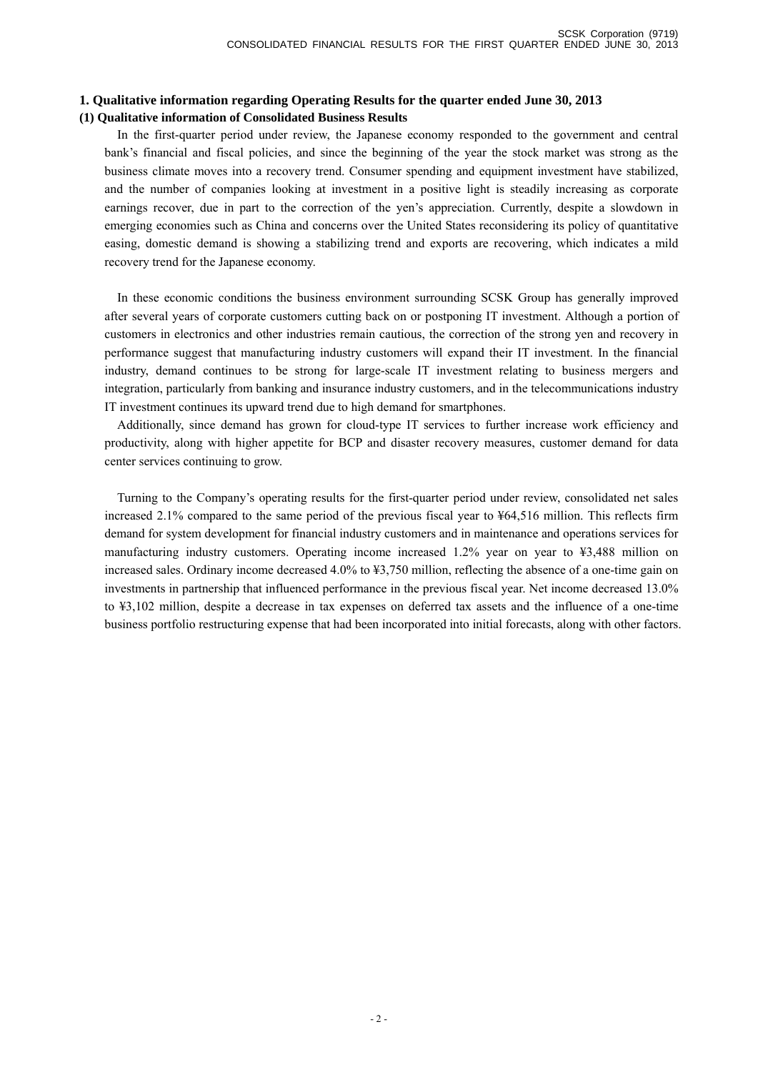### **1. Qualitative information regarding Operating Results for the quarter ended June 30, 2013 (1) Qualitative information of Consolidated Business Results**

In the first-quarter period under review, the Japanese economy responded to the government and central bank's financial and fiscal policies, and since the beginning of the year the stock market was strong as the business climate moves into a recovery trend. Consumer spending and equipment investment have stabilized, and the number of companies looking at investment in a positive light is steadily increasing as corporate earnings recover, due in part to the correction of the yen's appreciation. Currently, despite a slowdown in emerging economies such as China and concerns over the United States reconsidering its policy of quantitative easing, domestic demand is showing a stabilizing trend and exports are recovering, which indicates a mild recovery trend for the Japanese economy.

In these economic conditions the business environment surrounding SCSK Group has generally improved after several years of corporate customers cutting back on or postponing IT investment. Although a portion of customers in electronics and other industries remain cautious, the correction of the strong yen and recovery in performance suggest that manufacturing industry customers will expand their IT investment. In the financial industry, demand continues to be strong for large-scale IT investment relating to business mergers and integration, particularly from banking and insurance industry customers, and in the telecommunications industry IT investment continues its upward trend due to high demand for smartphones.

Additionally, since demand has grown for cloud-type IT services to further increase work efficiency and productivity, along with higher appetite for BCP and disaster recovery measures, customer demand for data center services continuing to grow.

Turning to the Company's operating results for the first-quarter period under review, consolidated net sales increased 2.1% compared to the same period of the previous fiscal year to ¥64,516 million. This reflects firm demand for system development for financial industry customers and in maintenance and operations services for manufacturing industry customers. Operating income increased 1.2% year on year to ¥3,488 million on increased sales. Ordinary income decreased 4.0% to ¥3,750 million, reflecting the absence of a one-time gain on investments in partnership that influenced performance in the previous fiscal year. Net income decreased 13.0% to ¥3,102 million, despite a decrease in tax expenses on deferred tax assets and the influence of a one-time business portfolio restructuring expense that had been incorporated into initial forecasts, along with other factors.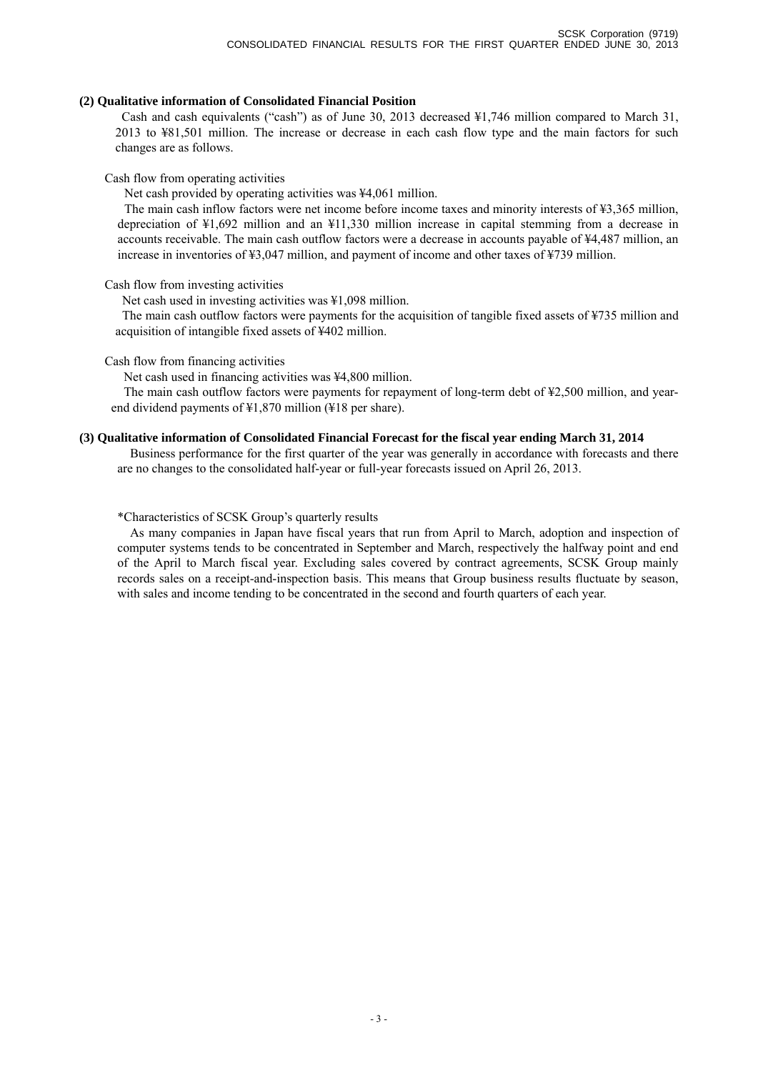#### **(2) Qualitative information of Consolidated Financial Position**

Cash and cash equivalents ("cash") as of June 30, 2013 decreased ¥1,746 million compared to March 31, 2013 to ¥81,501 million. The increase or decrease in each cash flow type and the main factors for such changes are as follows.

#### Cash flow from operating activities

Net cash provided by operating activities was ¥4,061 million.

The main cash inflow factors were net income before income taxes and minority interests of ¥3,365 million, depreciation of ¥1,692 million and an ¥11,330 million increase in capital stemming from a decrease in accounts receivable. The main cash outflow factors were a decrease in accounts payable of ¥4,487 million, an increase in inventories of ¥3,047 million, and payment of income and other taxes of ¥739 million.

### Cash flow from investing activities

Net cash used in investing activities was ¥1,098 million.

The main cash outflow factors were payments for the acquisition of tangible fixed assets of ¥735 million and acquisition of intangible fixed assets of ¥402 million.

Cash flow from financing activities

Net cash used in financing activities was ¥4,800 million.

The main cash outflow factors were payments for repayment of long-term debt of ¥2,500 million, and yearend dividend payments of ¥1,870 million (¥18 per share).

### **(3) Qualitative information of Consolidated Financial Forecast for the fiscal year ending March 31, 2014**

Business performance for the first quarter of the year was generally in accordance with forecasts and there are no changes to the consolidated half-year or full-year forecasts issued on April 26, 2013.

### \*Characteristics of SCSK Group's quarterly results

As many companies in Japan have fiscal years that run from April to March, adoption and inspection of computer systems tends to be concentrated in September and March, respectively the halfway point and end of the April to March fiscal year. Excluding sales covered by contract agreements, SCSK Group mainly records sales on a receipt-and-inspection basis. This means that Group business results fluctuate by season, with sales and income tending to be concentrated in the second and fourth quarters of each year.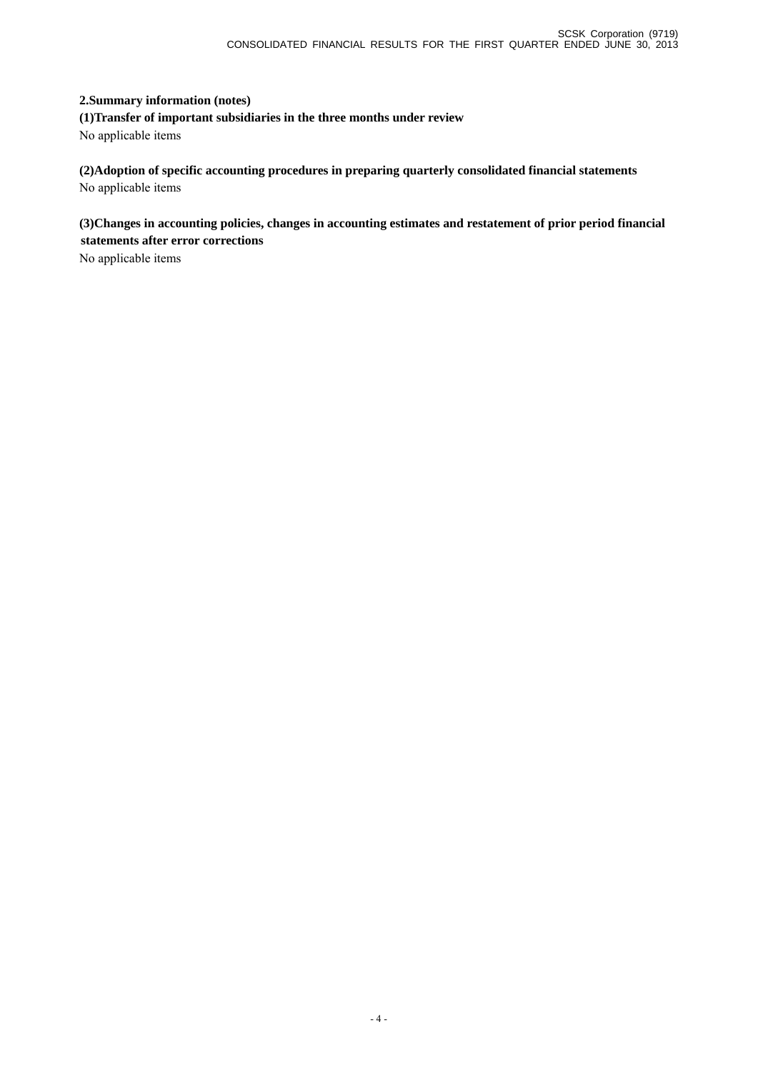### **2.Summary information (notes)**

**(1)Transfer of important subsidiaries in the three months under review**  No applicable items

**(2)Adoption of specific accounting procedures in preparing quarterly consolidated financial statements**  No applicable items

**(3)Changes in accounting policies, changes in accounting estimates and restatement of prior period financial statements after error corrections** 

No applicable items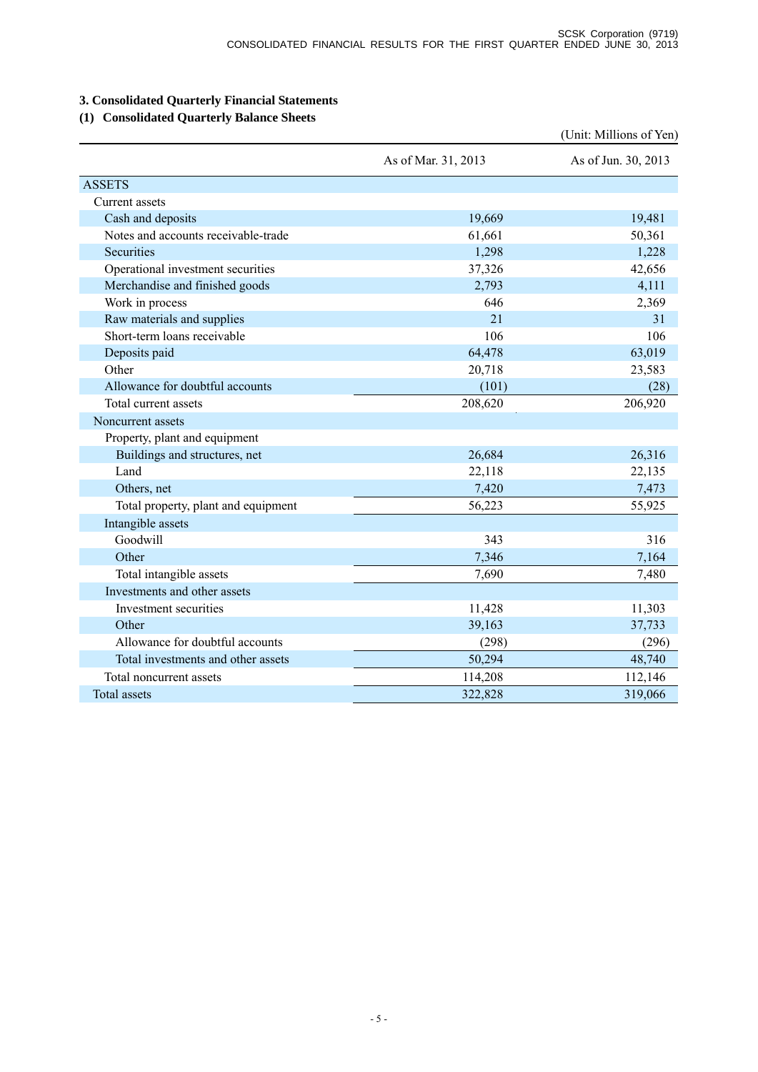## **3. Consolidated Quarterly Financial Statements**

### **(1) Consolidated Quarterly Balance Sheets**

|                                     |                     | (Unit: Millions of Yen) |
|-------------------------------------|---------------------|-------------------------|
|                                     | As of Mar. 31, 2013 | As of Jun. 30, 2013     |
| <b>ASSETS</b>                       |                     |                         |
| Current assets                      |                     |                         |
| Cash and deposits                   | 19,669              | 19,481                  |
| Notes and accounts receivable-trade | 61,661              | 50,361                  |
| Securities                          | 1,298               | 1,228                   |
| Operational investment securities   | 37,326              | 42,656                  |
| Merchandise and finished goods      | 2,793               | 4,111                   |
| Work in process                     | 646                 | 2,369                   |
| Raw materials and supplies          | 21                  | 31                      |
| Short-term loans receivable         | 106                 | 106                     |
| Deposits paid                       | 64,478              | 63,019                  |
| Other                               | 20,718              | 23,583                  |
| Allowance for doubtful accounts     | (101)               | (28)                    |
| Total current assets                | 208,620             | 206,920                 |
| Noncurrent assets                   |                     |                         |
| Property, plant and equipment       |                     |                         |
| Buildings and structures, net       | 26,684              | 26,316                  |
| Land                                | 22,118              | 22,135                  |
| Others, net                         | 7,420               | 7,473                   |
| Total property, plant and equipment | 56,223              | 55,925                  |
| Intangible assets                   |                     |                         |
| Goodwill                            | 343                 | 316                     |
| Other                               | 7,346               | 7,164                   |
| Total intangible assets             | 7,690               | 7,480                   |
| Investments and other assets        |                     |                         |
| Investment securities               | 11,428              | 11,303                  |
| Other                               | 39,163              | 37,733                  |
| Allowance for doubtful accounts     | (298)               | (296)                   |
| Total investments and other assets  | 50,294              | 48,740                  |
| Total noncurrent assets             | 114,208             | 112,146                 |
| <b>Total assets</b>                 | 322,828             | 319,066                 |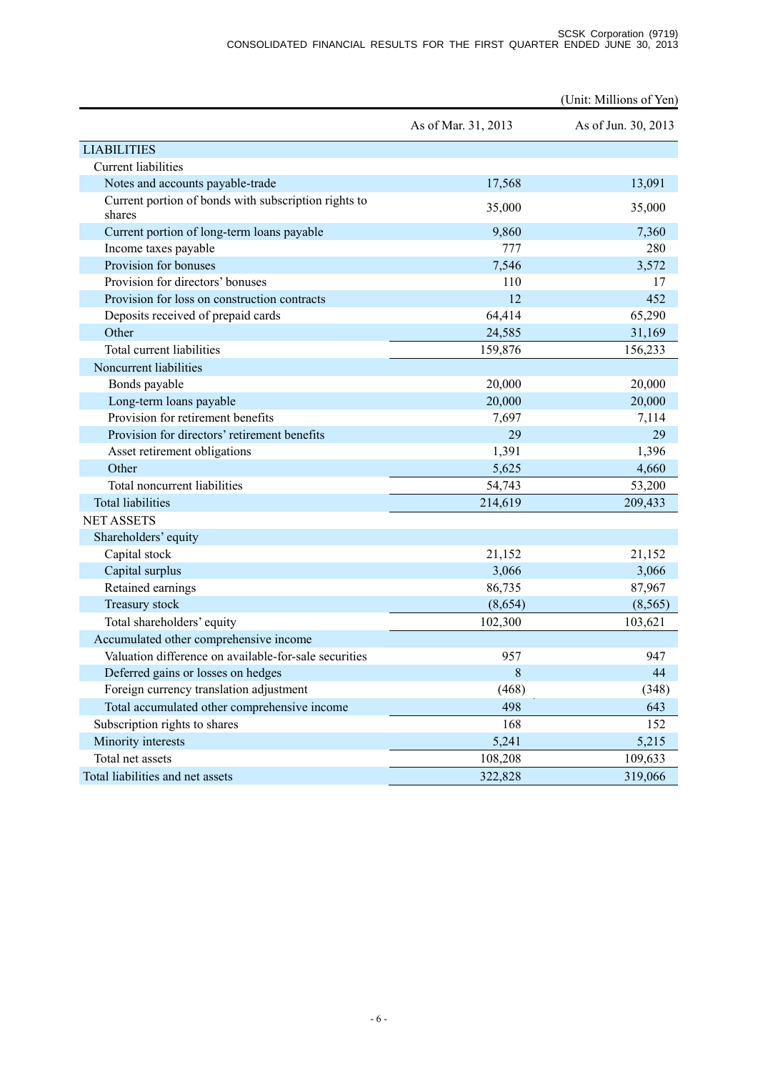|                                                                |                     | (Unit: Millions of Yen) |
|----------------------------------------------------------------|---------------------|-------------------------|
|                                                                | As of Mar. 31, 2013 | As of Jun. 30, 2013     |
| <b>LIABILITIES</b>                                             |                     |                         |
| <b>Current liabilities</b>                                     |                     |                         |
| Notes and accounts payable-trade                               | 17,568              | 13,091                  |
| Current portion of bonds with subscription rights to<br>shares | 35,000              | 35,000                  |
| Current portion of long-term loans payable                     | 9,860               | 7,360                   |
| Income taxes payable                                           | 777                 | 280                     |
| Provision for bonuses                                          | 7,546               | 3,572                   |
| Provision for directors' bonuses                               | 110                 | 17                      |
| Provision for loss on construction contracts                   | 12                  | 452                     |
| Deposits received of prepaid cards                             | 64,414              | 65,290                  |
| Other                                                          | 24,585              | 31,169                  |
| Total current liabilities                                      | 159,876             | 156,233                 |
| Noncurrent liabilities                                         |                     |                         |
| Bonds payable                                                  | 20,000              | 20,000                  |
| Long-term loans payable                                        | 20,000              | 20,000                  |
| Provision for retirement benefits                              | 7,697               | 7,114                   |
| Provision for directors' retirement benefits                   | 29                  | 29                      |
| Asset retirement obligations                                   | 1,391               | 1,396                   |
| Other                                                          | 5,625               | 4,660                   |
| Total noncurrent liabilities                                   | 54,743              | 53,200                  |
| <b>Total liabilities</b>                                       | 214,619             | 209,433                 |
| <b>NET ASSETS</b>                                              |                     |                         |
| Shareholders' equity                                           |                     |                         |
| Capital stock                                                  | 21,152              | 21,152                  |
| Capital surplus                                                | 3,066               | 3,066                   |
| Retained earnings                                              | 86,735              | 87,967                  |
| Treasury stock                                                 | (8,654)             | (8, 565)                |
| Total shareholders' equity                                     | 102,300             | 103,621                 |
| Accumulated other comprehensive income                         |                     |                         |
| Valuation difference on available-for-sale securities          | 957                 | 947                     |
| Deferred gains or losses on hedges                             | $\,8\,$             | 44                      |
| Foreign currency translation adjustment                        | (468)               | (348)                   |
| Total accumulated other comprehensive income                   | 498                 | 643                     |
| Subscription rights to shares                                  | 168                 | 152                     |
| Minority interests                                             | 5,241               | 5,215                   |
| Total net assets                                               | 108,208             | 109,633                 |
| Total liabilities and net assets                               | 322,828             | 319,066                 |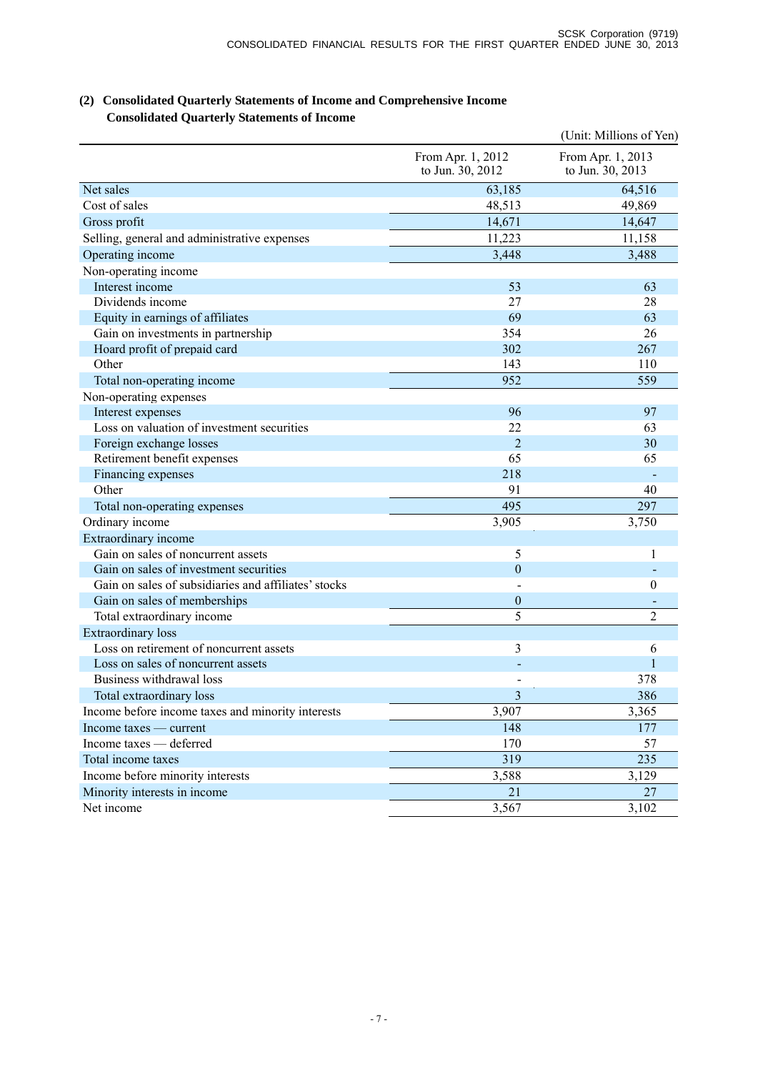|                                                      |                                       | (Unit: Millions of Yen)               |
|------------------------------------------------------|---------------------------------------|---------------------------------------|
|                                                      | From Apr. 1, 2012<br>to Jun. 30, 2012 | From Apr. 1, 2013<br>to Jun. 30, 2013 |
| Net sales                                            | 63,185                                | 64,516                                |
| Cost of sales                                        | 48,513                                | 49,869                                |
| Gross profit                                         | 14,671                                | 14,647                                |
| Selling, general and administrative expenses         | 11,223                                | 11,158                                |
| Operating income                                     | 3,448                                 | 3,488                                 |
| Non-operating income                                 |                                       |                                       |
| Interest income                                      | 53                                    | 63                                    |
| Dividends income                                     | 27                                    | 28                                    |
| Equity in earnings of affiliates                     | 69                                    | 63                                    |
| Gain on investments in partnership                   | 354                                   | 26                                    |
| Hoard profit of prepaid card                         | 302                                   | 267                                   |
| Other                                                | 143                                   | 110                                   |
| Total non-operating income                           | 952                                   | 559                                   |
| Non-operating expenses                               |                                       |                                       |
| Interest expenses                                    | 96                                    | 97                                    |
| Loss on valuation of investment securities           | 22                                    | 63                                    |
| Foreign exchange losses                              | $\overline{2}$                        | 30                                    |
| Retirement benefit expenses                          | 65                                    | 65                                    |
| Financing expenses                                   | 218                                   |                                       |
| Other                                                | 91                                    | 40                                    |
| Total non-operating expenses                         | 495                                   | 297                                   |
| Ordinary income                                      | 3,905                                 | 3,750                                 |
| Extraordinary income                                 |                                       |                                       |
| Gain on sales of noncurrent assets                   | 5                                     | 1                                     |
| Gain on sales of investment securities               | $\boldsymbol{0}$                      |                                       |
| Gain on sales of subsidiaries and affiliates' stocks |                                       | $\theta$                              |
| Gain on sales of memberships                         | $\boldsymbol{0}$                      |                                       |
| Total extraordinary income                           | 5                                     | $\overline{2}$                        |
| <b>Extraordinary</b> loss                            |                                       |                                       |
| Loss on retirement of noncurrent assets              | 3                                     | 6                                     |
| Loss on sales of noncurrent assets                   |                                       |                                       |
| Business withdrawal loss                             |                                       | 378                                   |
| Total extraordinary loss                             | $\overline{3}$                        | 386                                   |
| Income before income taxes and minority interests    | 3,907                                 | 3,365                                 |
| Income taxes — current                               | 148                                   | 177                                   |
| Income taxes — deferred                              | 170                                   | 57                                    |
| Total income taxes                                   | 319                                   | 235                                   |
| Income before minority interests                     | 3,588                                 | 3,129                                 |
| Minority interests in income                         | 21                                    | 27                                    |
| Net income                                           | 3,567                                 | 3,102                                 |

### **(2) Consolidated Quarterly Statements of Income and Comprehensive Income Consolidated Quarterly Statements of Income**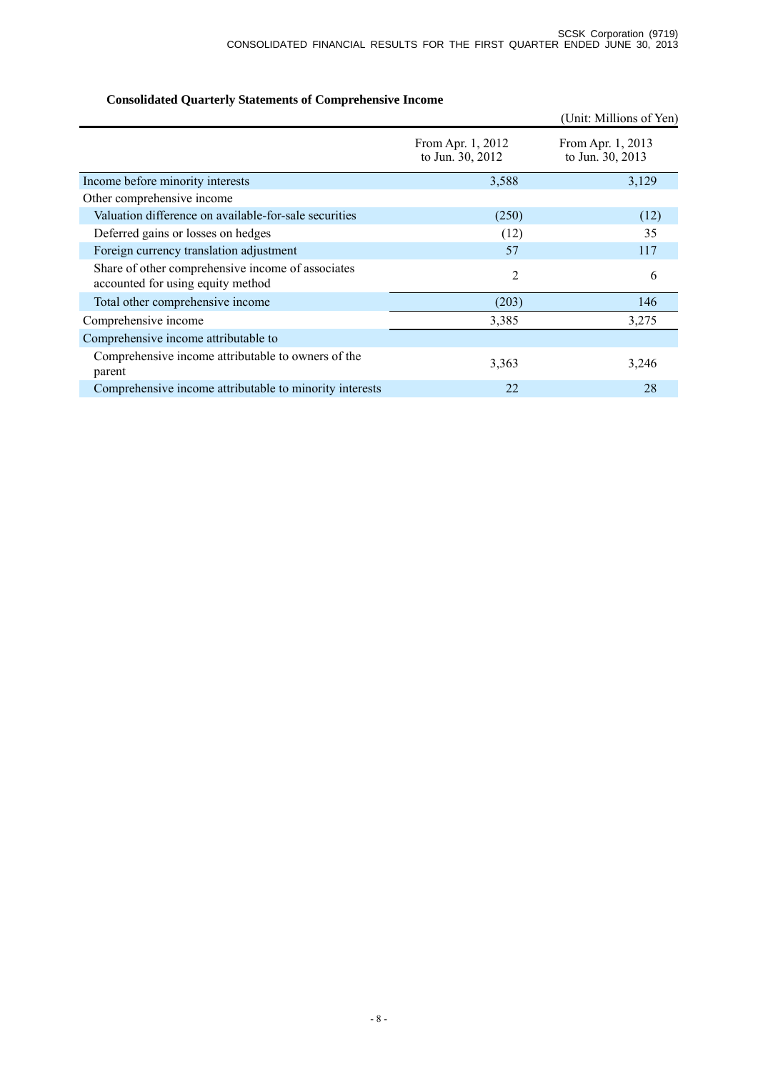## **Consolidated Quarterly Statements of Comprehensive Income**

|                                                                                        |                                       | (Unit: Millions of Yen)               |
|----------------------------------------------------------------------------------------|---------------------------------------|---------------------------------------|
|                                                                                        | From Apr. 1, 2012<br>to Jun. 30, 2012 | From Apr. 1, 2013<br>to Jun. 30, 2013 |
| Income before minority interests                                                       | 3,588                                 | 3,129                                 |
| Other comprehensive income                                                             |                                       |                                       |
| Valuation difference on available-for-sale securities                                  | (250)                                 | (12)                                  |
| Deferred gains or losses on hedges                                                     | (12)                                  | 35                                    |
| Foreign currency translation adjustment                                                | 57                                    | 117                                   |
| Share of other comprehensive income of associates<br>accounted for using equity method | 2                                     | 6                                     |
| Total other comprehensive income                                                       | (203)                                 | 146                                   |
| Comprehensive income                                                                   | 3,385                                 | 3,275                                 |
| Comprehensive income attributable to                                                   |                                       |                                       |
| Comprehensive income attributable to owners of the<br>parent                           | 3,363                                 | 3,246                                 |
| Comprehensive income attributable to minority interests                                | 22                                    | 28                                    |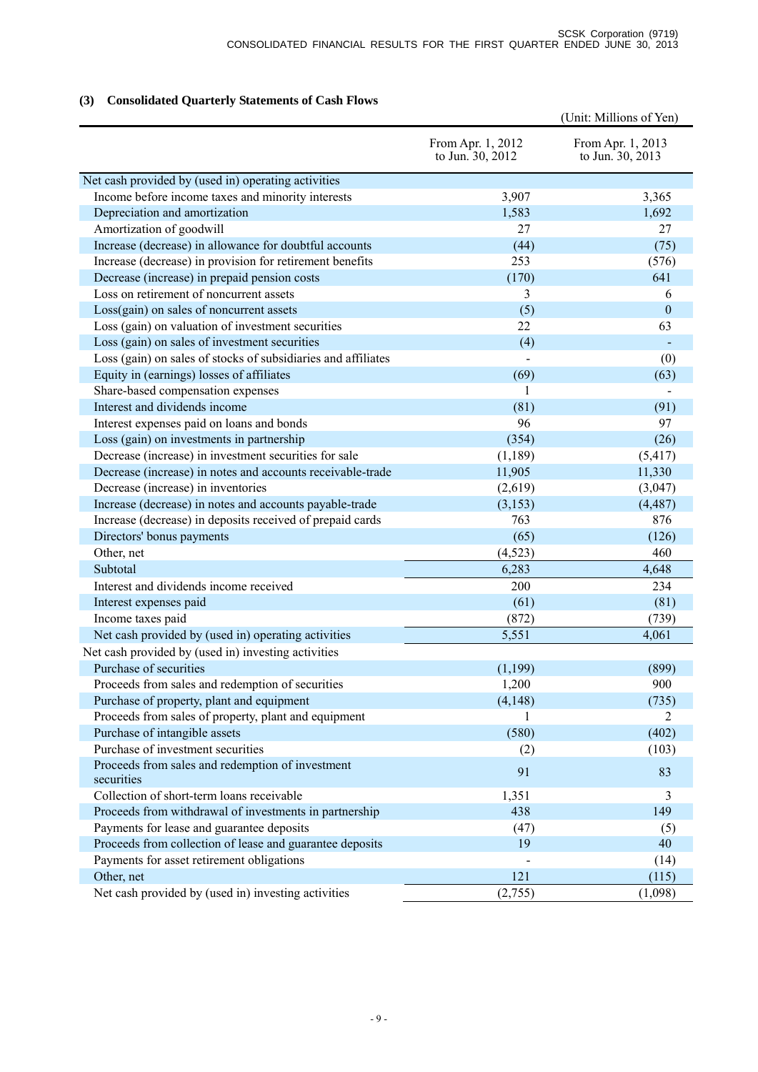## **(3) Consolidated Quarterly Statements of Cash Flows**

|                                                                |                                       | (Unit: Millions of Yen)               |
|----------------------------------------------------------------|---------------------------------------|---------------------------------------|
|                                                                | From Apr. 1, 2012<br>to Jun. 30, 2012 | From Apr. 1, 2013<br>to Jun. 30, 2013 |
| Net cash provided by (used in) operating activities            |                                       |                                       |
| Income before income taxes and minority interests              | 3,907                                 | 3,365                                 |
| Depreciation and amortization                                  | 1,583                                 | 1,692                                 |
| Amortization of goodwill                                       | 27                                    | 27                                    |
| Increase (decrease) in allowance for doubtful accounts         | (44)                                  | (75)                                  |
| Increase (decrease) in provision for retirement benefits       | 253                                   | (576)                                 |
| Decrease (increase) in prepaid pension costs                   | (170)                                 | 641                                   |
| Loss on retirement of noncurrent assets                        | 3                                     | 6                                     |
| Loss(gain) on sales of noncurrent assets                       | (5)                                   | $\theta$                              |
| Loss (gain) on valuation of investment securities              | 22                                    | 63                                    |
| Loss (gain) on sales of investment securities                  | (4)                                   |                                       |
| Loss (gain) on sales of stocks of subsidiaries and affiliates  |                                       | (0)                                   |
| Equity in (earnings) losses of affiliates                      | (69)                                  | (63)                                  |
| Share-based compensation expenses                              | 1                                     |                                       |
| Interest and dividends income                                  | (81)                                  | (91)                                  |
| Interest expenses paid on loans and bonds                      | 96                                    | 97                                    |
| Loss (gain) on investments in partnership                      | (354)                                 | (26)                                  |
| Decrease (increase) in investment securities for sale          | (1, 189)                              | (5, 417)                              |
| Decrease (increase) in notes and accounts receivable-trade     | 11,905                                | 11,330                                |
| Decrease (increase) in inventories                             | (2,619)                               | (3,047)                               |
| Increase (decrease) in notes and accounts payable-trade        | (3,153)                               | (4, 487)                              |
| Increase (decrease) in deposits received of prepaid cards      | 763                                   | 876                                   |
| Directors' bonus payments                                      | (65)                                  | (126)                                 |
| Other, net                                                     | (4,523)                               | 460                                   |
| Subtotal                                                       | 6,283                                 | 4,648                                 |
| Interest and dividends income received                         | 200                                   | 234                                   |
| Interest expenses paid                                         | (61)                                  | (81)                                  |
| Income taxes paid                                              | (872)                                 | (739)                                 |
| Net cash provided by (used in) operating activities            | 5,551                                 | 4,061                                 |
| Net cash provided by (used in) investing activities            |                                       |                                       |
| Purchase of securities                                         | (1,199)                               | (899)                                 |
| Proceeds from sales and redemption of securities               | 1,200                                 | 900                                   |
| Purchase of property, plant and equipment                      | (4, 148)                              | (735)                                 |
| Proceeds from sales of property, plant and equipment           | 1                                     | 2                                     |
| Purchase of intangible assets                                  | (580)                                 | (402)                                 |
| Purchase of investment securities                              | (2)                                   | (103)                                 |
| Proceeds from sales and redemption of investment<br>securities | 91                                    | 83                                    |
| Collection of short-term loans receivable                      | 1,351                                 | 3                                     |
| Proceeds from withdrawal of investments in partnership         | 438                                   | 149                                   |
| Payments for lease and guarantee deposits                      | (47)                                  | (5)                                   |
| Proceeds from collection of lease and guarantee deposits       | 19                                    | 40                                    |
| Payments for asset retirement obligations                      |                                       | (14)                                  |
| Other, net                                                     | 121                                   | (115)                                 |
| Net cash provided by (used in) investing activities            | (2,755)                               | (1,098)                               |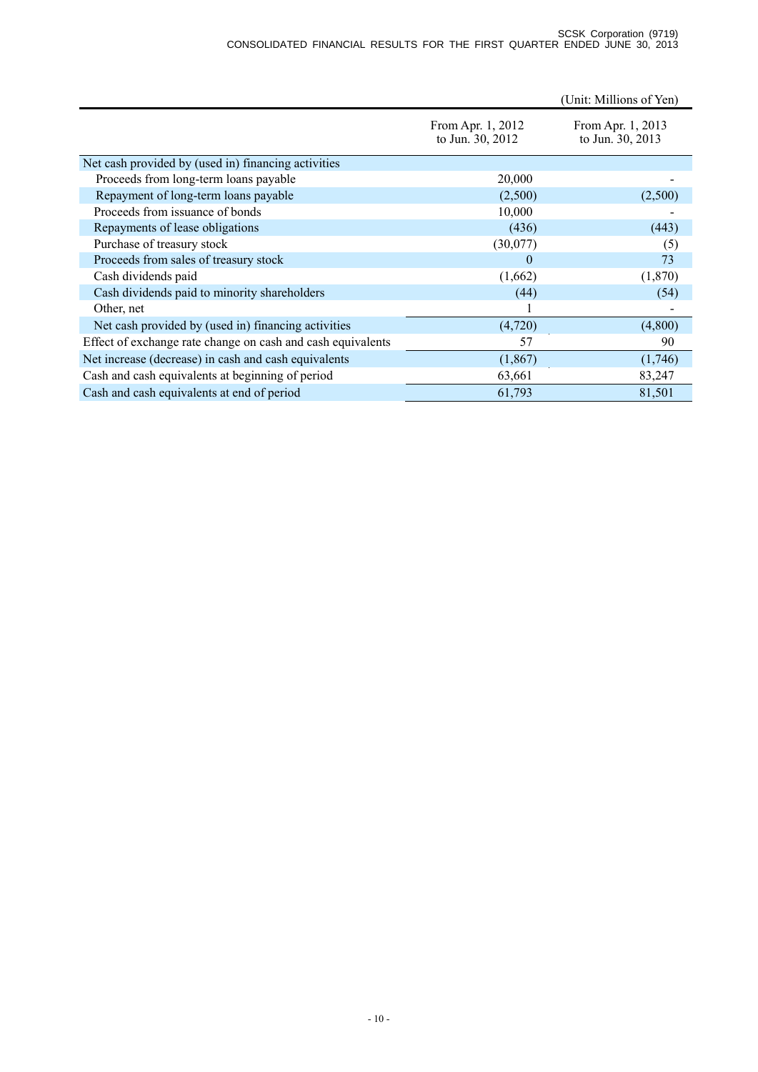|                                                             |                                       | (Unit: Millions of Yen)               |
|-------------------------------------------------------------|---------------------------------------|---------------------------------------|
|                                                             | From Apr. 1, 2012<br>to Jun. 30, 2012 | From Apr. 1, 2013<br>to Jun. 30, 2013 |
| Net cash provided by (used in) financing activities         |                                       |                                       |
| Proceeds from long-term loans payable                       | 20,000                                |                                       |
| Repayment of long-term loans payable                        | (2,500)                               | (2,500)                               |
| Proceeds from issuance of bonds                             | 10,000                                |                                       |
| Repayments of lease obligations                             | (436)                                 | (443)                                 |
| Purchase of treasury stock                                  | (30,077)                              | (5)                                   |
| Proceeds from sales of treasury stock                       | $\Omega$                              | 73                                    |
| Cash dividends paid                                         | (1,662)                               | (1,870)                               |
| Cash dividends paid to minority shareholders                | (44)                                  | (54)                                  |
| Other, net                                                  |                                       |                                       |
| Net cash provided by (used in) financing activities         | (4,720)                               | (4,800)                               |
| Effect of exchange rate change on cash and cash equivalents | 57                                    | 90                                    |
| Net increase (decrease) in cash and cash equivalents        | (1, 867)                              | (1,746)                               |
| Cash and cash equivalents at beginning of period            | 63,661                                | 83,247                                |
| Cash and cash equivalents at end of period                  | 61,793                                | 81,501                                |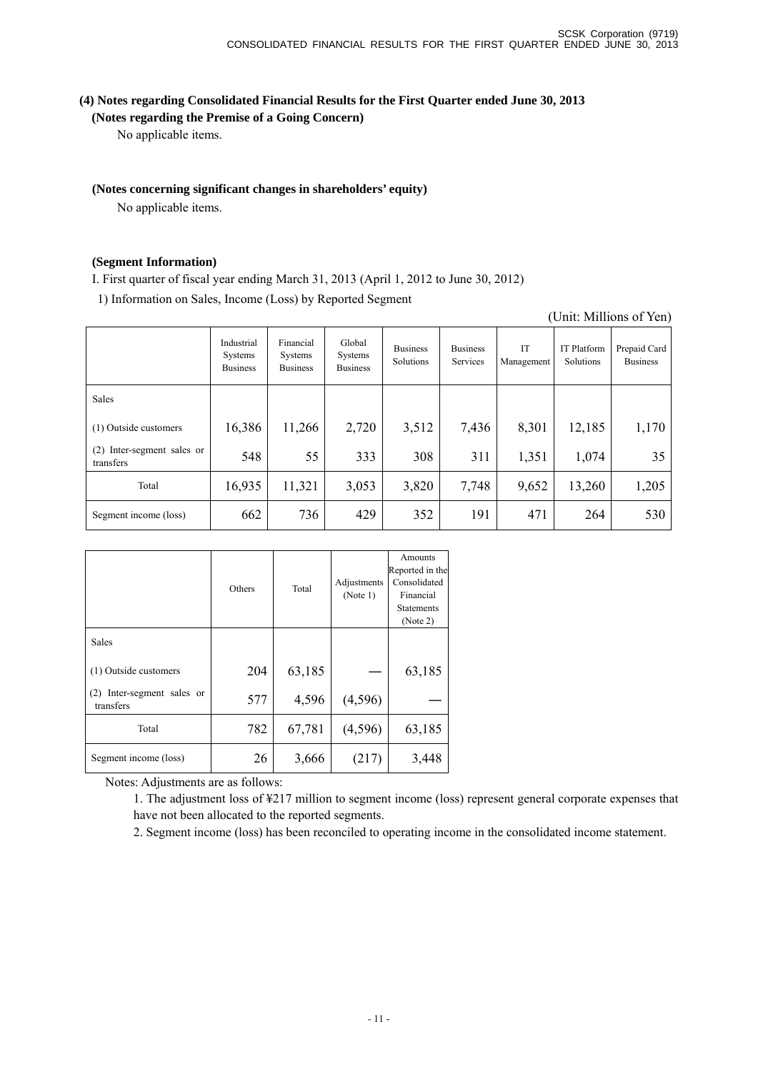(Unit: Millions of Yen)

### **(4) Notes regarding Consolidated Financial Results for the First Quarter ended June 30, 2013**

### **(Notes regarding the Premise of a Going Concern)**

No applicable items.

### **(Notes concerning significant changes in shareholders' equity)**

No applicable items.

### **(Segment Information)**

I. First quarter of fiscal year ending March 31, 2013 (April 1, 2012 to June 30, 2012)

1) Information on Sales, Income (Loss) by Reported Segment

|                                            | Industrial<br>Systems<br><b>Business</b> | Financial<br>Systems<br><b>Business</b> | Global<br><b>Systems</b><br><b>Business</b> | <b>Business</b><br>Solutions | <b>Business</b><br>Services | IT<br>Management | IT Platform<br>Solutions | Prepaid Card<br><b>Business</b> |
|--------------------------------------------|------------------------------------------|-----------------------------------------|---------------------------------------------|------------------------------|-----------------------------|------------------|--------------------------|---------------------------------|
| <b>Sales</b>                               |                                          |                                         |                                             |                              |                             |                  |                          |                                 |
| (1) Outside customers                      | 16,386                                   | 11,266                                  | 2,720                                       | 3,512                        | 7,436                       | 8,301            | 12,185                   | 1,170                           |
| Inter-segment sales or<br>(2)<br>transfers | 548                                      | 55                                      | 333                                         | 308                          | 311                         | 1,351            | 1,074                    | 35                              |
| Total                                      | 16,935                                   | 11,321                                  | 3,053                                       | 3,820                        | 7,748                       | 9,652            | 13,260                   | 1,205                           |
| Segment income (loss)                      | 662                                      | 736                                     | 429                                         | 352                          | 191                         | 471              | 264                      | 530                             |

|                                            | Others | Total  | Adjustments<br>(Note 1) | Amounts<br>Reported in the<br>Consolidated<br>Financial<br><b>Statements</b><br>(Note 2) |
|--------------------------------------------|--------|--------|-------------------------|------------------------------------------------------------------------------------------|
| Sales                                      |        |        |                         |                                                                                          |
| (1) Outside customers                      | 204    | 63,185 |                         | 63,185                                                                                   |
| Inter-segment sales or<br>(2)<br>transfers | 577    | 4,596  | (4,596)                 |                                                                                          |
| Total                                      | 782    | 67,781 | (4,596)                 | 63,185                                                                                   |
| Segment income (loss)                      | 26     | 3,666  | (217)                   | 3,448                                                                                    |

Notes: Adjustments are as follows:

1. The adjustment loss of ¥217 million to segment income (loss) represent general corporate expenses that have not been allocated to the reported segments.

2. Segment income (loss) has been reconciled to operating income in the consolidated income statement.